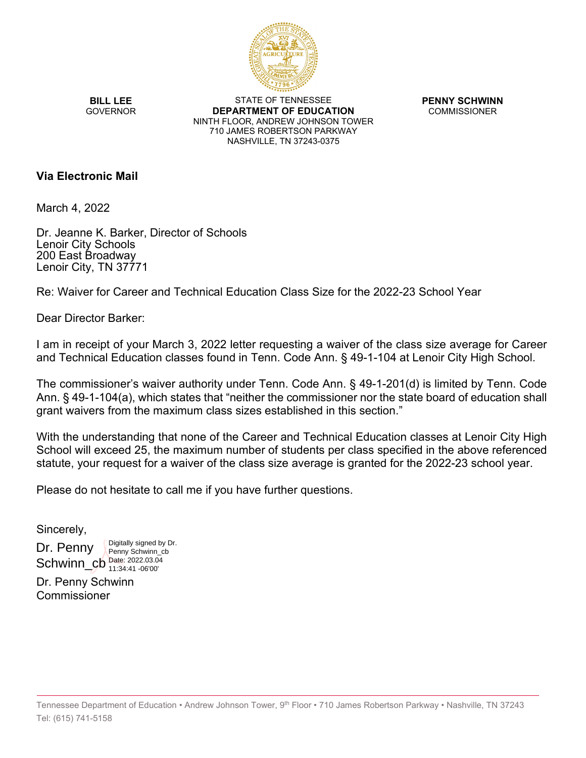

**BILL LEE GOVERNOR** 

STATE OF TENNESSEE **DEPARTMENT OF EDUCATION** NINTH FLOOR, ANDREW JOHNSON TOWER 710 JAMES ROBERTSON PARKWAY NASHVILLE, TN 37243-0375

**PENNY SCHWINN** COMMISSIONER

## **Via Electronic Mail**

March 4, 2022

Dr. Jeanne K. Barker, Director of Schools Lenoir City Schools 200 East Broadway Lenoir City, TN 37771

Re: Waiver for Career and Technical Education Class Size for the 2022-23 School Year

Dear Director Barker:

I am in receipt of your March 3, 2022 letter requesting a waiver of the class size average for Career and Technical Education classes found in Tenn. Code Ann. § 49-1-104 at Lenoir City High School.

The commissioner's waiver authority under Tenn. Code Ann. § 49-1-201(d) is limited by Tenn. Code Ann. § 49-1-104(a), which states that "neither the commissioner nor the state board of education shall grant waivers from the maximum class sizes established in this section."

With the understanding that none of the Career and Technical Education classes at Lenoir City High School will exceed 25, the maximum number of students per class specified in the above referenced statute, your request for a waiver of the class size average is granted for the 2022-23 school year.

Please do not hesitate to call me if you have further questions.

Sincerely,

Dr. Penny  $SchwinCb_{11:34:41-06'00'}^{Date: 2022.03.04}$ Digitally signed by Dr. Penny Schwinn\_cb 11:34:41 -06'00'

Dr. Penny Schwinn Commissioner